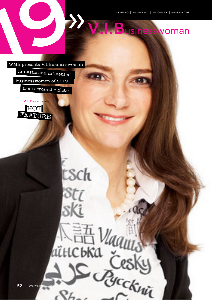V.I.Businesswoman

WMB presents V.I.Businesswoman

fantastic and influential businesswomen of 2019 from across the globe.

sch

EE Vaguus

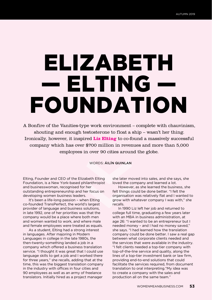## ELIZABETH — ELTING — FOUNDATION

A Bonfire of the Vanities-type work environment – complete with chauvinism, shouting and enough testosterone to float a ship – wasn't her thing. Ironically, however, it inspired **Liz Elting** to co-found a massively successful company which has over \$700 million in revenues and more than 5,000 employees in over 90 cities around the globe.

WORDS: ÁILÍN QUINLAN

Elting, Founder and CEO of the Elizabeth Elting Foundation, is a New York-based philanthropist and businesswoman, recognised for her outstanding entrepreneurship and her focus on developing women business leaders.

It's been a life-long passion – when Elting co-founded TransPerfect, the world's largest provider of language and business solutions, in late 1992, one of her priorities was that the company would be a place where both men and women wanted to work, and where male and female employees were treated as equals.

As a student, Elting had a strong interest in languages. After majoring in Modern Languages in college in the late 1980s, the then-twenty-something landed a job in a company which offered a business translation service. "I thought it was great that I could use language skills to get a job and I worked there for three years," she recalls, adding that at the time, this was the biggest translation company in the industry with offices in four cities and 90 employees as well as an army of freelance translators. Initially hired as a project manager

she later moved into sales, and she says, she loved the company and learned a lot.

However, as she learned the business, she felt things could be done better. "I felt the organisation was relatively flat and I wanted to grow with whatever company I was with," she recalls.

In 1990 Liz left her job and returned to college full time, graduating a few years later with an MBA in business administration, at age 26: "I wanted to be an entrepreneur but I needed money – and I had no money saved," she says. "I had learned how the translation company could be done better. I saw a real gap between what corporate clients needed and the services that were available in the industry. "I felt clients needed a top-tier company with top-of-the-line service and quality, along the lines of a top-tier investment bank or law firm, providing end-to-end solutions that could facilitate the services required, from document translation to oral interpreting."My idea was to create a company with the sales and production all on the same team."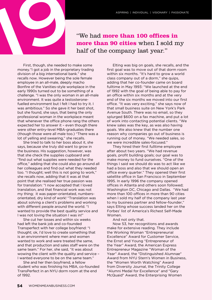

"We had **more than 100 offices in more than 90 cities** when I sold my half of the company last year."

First, though, she needed to make some money."I got a job in the proprietary trading division of a big international bank." she recalls now. However being the sole female employee in an all-male, deeply macho Bonfire of the Vanities-style workplace in the early 1990s turned out to be something of a challenge. "I was the only woman in an all-male environment. It was quite a testosteronefuelled environment but I felt I had to try it. I was ambitious." So she gave it her best shot, but she found, she says, that being the only professional woman in the workplace meant that whenever the office phone rang the others expected her to answer it – even though there were other entry-level MBA-graduates there (though those were all male too.) "There was a lot of yelling and swearing," she recalls.

She tried to talk to her boss about it, she says, because she truly did want to grow in the business. His suggestion, however, was that she check the supplies cupboard and "find out what supplies were needed for the office," adding that she could also go around all her colleagues and find out what they needed too. "I thought; well this is not going to work," she recalls now, adding that it was at that point that she realised her true passion was for translation: "I now accepted that I loved translation, and that financial work was not my thing; it was paper-orientated, numbersorientated, dry kind of work! "Translation was about solving a client's problems and working with different people around the world. "I wanted to provide the best quality service and I was not loving the situation I was in!"

She cut her losses and within six weeks had left the bank job and co-founded Transperfect with her college boyfriend: "I thought; ok, I'd love to create something that is an environment where men and women wanted to work and were treated the same, and that production and sales staff were on the same team." For her, she said, "it was about wowing the client with the quality and service – I wanted everyone to be on the same team."

She and her then boyfriend, a fellow student who was finishing his MBA, co-founded TransPerfect in an NYU dorm room at the end of 1992.

Elting was big on goals, she recalls, and the first goal was to move out of that dorm room within six months. "It's hard to grow a world class company out of a dorm," she quips, adding that her co-founder came on board fulltime in May 1993: "We launched at the end of 1992 with the goal of being able to pay for an office within six months and at the very end of the six months we moved into our first office. "It was very exciting," she says now of that small business suite on New York's Park Avenue South. There was no email, so they splurged \$600 on a fax machine, and put a lot of work into contacting potential clients. "We knew sales was the key, as was also having goals. We also knew that the number one reason why companies go out of business is running out of money. "We needed sales, so we were incredible sales-focused."

They hired their first fulltime employee after about two years. "We had revenue goals, profit building goals; our goal was to make money to fund ourselves. "One of the things I said we should do was to act like we had a boss and also that we should open an office every quarter." They opened their first satellite office in San Francisco in September 1995. In early 1996 the company opened offices in Atlanta and others soon followed; Washington DC, Chicago and Dallas. "We had more than 100 offices in more than 90 cities when I sold my half of the company last year to my business partner and fellow-founder," says Elting whose success landed her on the Forbes' list of America's Richest Self-Made Women.

## And not only that.

Now 53, her recognitions and awards make for extensive reading. They include the Working Woman "Entrepreneurial Excellence" Award for Customer Service, the Ernst and Young "Entrepreneur of the Year" Award, the American Express Entrepreneur Magazine "Woman of the Year" Award, the "Distinguished Alumnae" Award from NYU Stern's Women in Business, the "Women Worth Watching" Award from Diversity Journal, the Trinity College "Alumni Medal for Excellence" and "Gary McQuaid" Award, the Enterprising Women